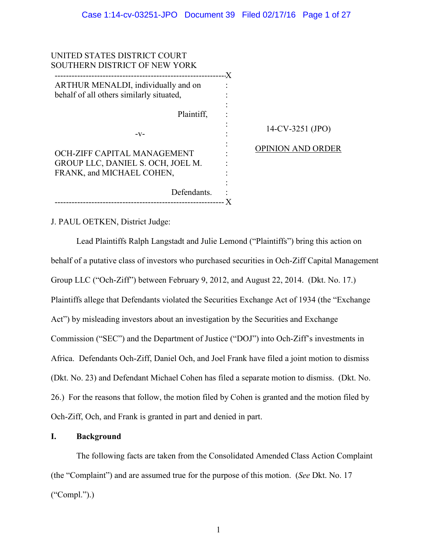14-CV-3251 (JPO)

OPINION AND ORDER

UNITED STATES DISTRICT COURT SOUTHERN DISTRICT OF NEW YORK ------------------------------------------------------------- X ARTHUR MENALDI, individually and on behalf of all others similarly situated, Plaintiff, -v-OCH-ZIFF CAPITAL MANAGEMENT GROUP LLC, DANIEL S. OCH, JOEL M. FRANK, and MICHAEL COHEN, Defendants. : ------------------------------------------------------------ X : : : : : : : : : : :

J. PAUL OETKEN, District Judge:

Lead Plaintiffs Ralph Langstadt and Julie Lemond ("Plaintiffs") bring this action on behalf of a putative class of investors who purchased securities in Och-Ziff Capital Management Group LLC ("Och-Ziff") between February 9, 2012, and August 22, 2014. (Dkt. No. 17.) Plaintiffs allege that Defendants violated the Securities Exchange Act of 1934 (the "Exchange Act") by misleading investors about an investigation by the Securities and Exchange Commission ("SEC") and the Department of Justice ("DOJ") into Och-Ziff's investments in Africa. Defendants Och-Ziff, Daniel Och, and Joel Frank have filed a joint motion to dismiss (Dkt. No. 23) and Defendant Michael Cohen has filed a separate motion to dismiss. (Dkt. No. 26.) For the reasons that follow, the motion filed by Cohen is granted and the motion filed by Och-Ziff, Och, and Frank is granted in part and denied in part.

# **I. Background**

The following facts are taken from the Consolidated Amended Class Action Complaint (the "Complaint") and are assumed true for the purpose of this motion. (*See* Dkt. No. 17  $("Compl."$ ).)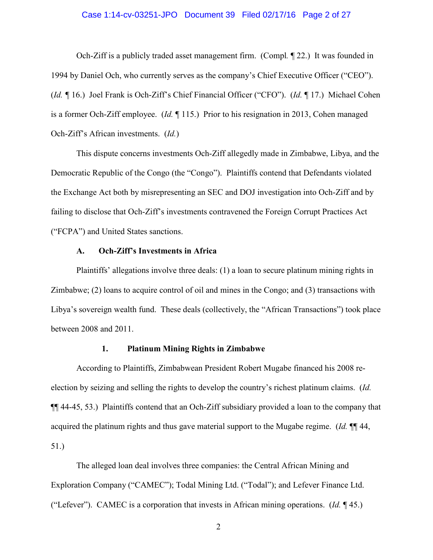### Case 1:14-cv-03251-JPO Document 39 Filed 02/17/16 Page 2 of 27

Och-Ziff is a publicly traded asset management firm. (Compl*.* ¶ 22.) It was founded in 1994 by Daniel Och, who currently serves as the company's Chief Executive Officer ("CEO"). (*Id. ¶* 16.) Joel Frank is Och-Ziff's Chief Financial Officer ("CFO"). (*Id.* ¶ 17.) Michael Cohen is a former Och-Ziff employee. (*Id.* ¶ 115.) Prior to his resignation in 2013, Cohen managed Och-Ziff's African investments. (*Id.*)

This dispute concerns investments Och-Ziff allegedly made in Zimbabwe, Libya, and the Democratic Republic of the Congo (the "Congo"). Plaintiffs contend that Defendants violated the Exchange Act both by misrepresenting an SEC and DOJ investigation into Och-Ziff and by failing to disclose that Och-Ziff's investments contravened the Foreign Corrupt Practices Act ("FCPA") and United States sanctions.

### **A. Och-Ziff's Investments in Africa**

Plaintiffs' allegations involve three deals: (1) a loan to secure platinum mining rights in Zimbabwe; (2) loans to acquire control of oil and mines in the Congo; and (3) transactions with Libya's sovereign wealth fund. These deals (collectively, the "African Transactions") took place between 2008 and 2011.

### **1. Platinum Mining Rights in Zimbabwe**

According to Plaintiffs, Zimbabwean President Robert Mugabe financed his 2008 reelection by seizing and selling the rights to develop the country's richest platinum claims. (*Id.* ¶¶ 44-45, 53.) Plaintiffs contend that an Och-Ziff subsidiary provided a loan to the company that acquired the platinum rights and thus gave material support to the Mugabe regime. (*Id.* ¶¶ 44, 51.)

The alleged loan deal involves three companies: the Central African Mining and Exploration Company ("CAMEC"); Todal Mining Ltd. ("Todal"); and Lefever Finance Ltd. ("Lefever"). CAMEC is a corporation that invests in African mining operations. (*Id.* ¶ 45.)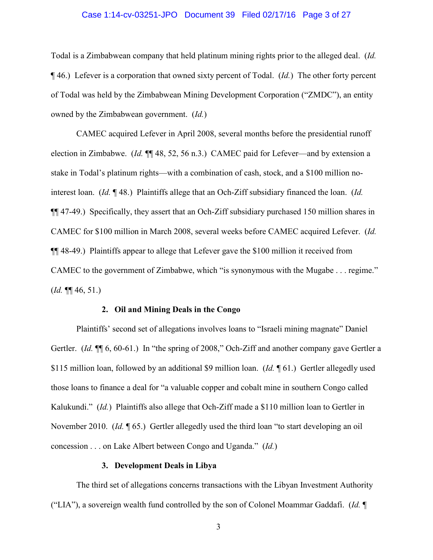### Case 1:14-cv-03251-JPO Document 39 Filed 02/17/16 Page 3 of 27

Todal is a Zimbabwean company that held platinum mining rights prior to the alleged deal. (*Id.* ¶ 46.) Lefever is a corporation that owned sixty percent of Todal. (*Id.*) The other forty percent of Todal was held by the Zimbabwean Mining Development Corporation ("ZMDC"), an entity owned by the Zimbabwean government. (*Id.*)

CAMEC acquired Lefever in April 2008, several months before the presidential runoff election in Zimbabwe. (*Id.* ¶¶ 48, 52, 56 n.3.) CAMEC paid for Lefever—and by extension a stake in Todal's platinum rights—with a combination of cash, stock, and a \$100 million nointerest loan. (*Id.* ¶ 48.) Plaintiffs allege that an Och-Ziff subsidiary financed the loan. (*Id.* ¶¶ 47-49.) Specifically, they assert that an Och-Ziff subsidiary purchased 150 million shares in CAMEC for \$100 million in March 2008, several weeks before CAMEC acquired Lefever. (*Id.*  ¶¶ 48-49.) Plaintiffs appear to allege that Lefever gave the \$100 million it received from CAMEC to the government of Zimbabwe, which "is synonymous with the Mugabe . . . regime." (*Id.* ¶¶ 46, 51.)

### **2. Oil and Mining Deals in the Congo**

Plaintiffs' second set of allegations involves loans to "Israeli mining magnate" Daniel Gertler. (*Id.*  $\P$ [ 6, 60-61.) In "the spring of 2008," Och-Ziff and another company gave Gertler a \$115 million loan, followed by an additional \$9 million loan. (*Id.* ¶ 61.) Gertler allegedly used those loans to finance a deal for "a valuable copper and cobalt mine in southern Congo called Kalukundi." (*Id.*) Plaintiffs also allege that Och-Ziff made a \$110 million loan to Gertler in November 2010. (*Id.* ¶ 65.) Gertler allegedly used the third loan "to start developing an oil concession . . . on Lake Albert between Congo and Uganda." (*Id.*)

### **3. Development Deals in Libya**

 The third set of allegations concerns transactions with the Libyan Investment Authority ("LIA"), a sovereign wealth fund controlled by the son of Colonel Moammar Gaddafi. (*Id.* ¶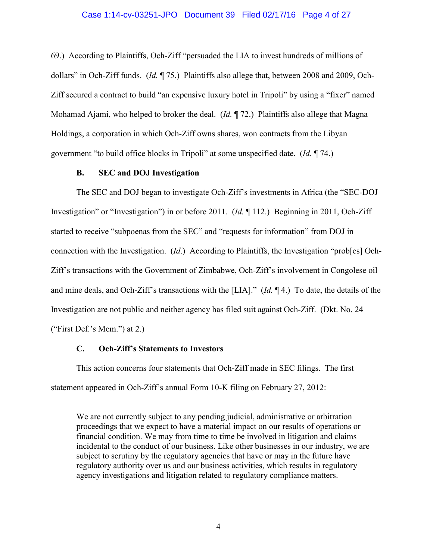### Case 1:14-cv-03251-JPO Document 39 Filed 02/17/16 Page 4 of 27

69.) According to Plaintiffs, Och-Ziff "persuaded the LIA to invest hundreds of millions of dollars" in Och-Ziff funds. (*Id.* ¶ 75.) Plaintiffs also allege that, between 2008 and 2009, Och-Ziff secured a contract to build "an expensive luxury hotel in Tripoli" by using a "fixer" named Mohamad Ajami, who helped to broker the deal. (*Id.* ¶ 72.) Plaintiffs also allege that Magna Holdings, a corporation in which Och-Ziff owns shares, won contracts from the Libyan government "to build office blocks in Tripoli" at some unspecified date. (*Id.* ¶ 74.)

# **B. SEC and DOJ Investigation**

The SEC and DOJ began to investigate Och-Ziff's investments in Africa (the "SEC-DOJ Investigation" or "Investigation") in or before 2011. (*Id.* ¶ 112.) Beginning in 2011, Och-Ziff started to receive "subpoenas from the SEC" and "requests for information" from DOJ in connection with the Investigation. (*Id*.) According to Plaintiffs, the Investigation "prob[es] Och-Ziff's transactions with the Government of Zimbabwe, Och-Ziff's involvement in Congolese oil and mine deals, and Och-Ziff's transactions with the [LIA]." (*Id.* ¶ 4.) To date, the details of the Investigation are not public and neither agency has filed suit against Och-Ziff. (Dkt. No. 24 ("First Def.'s Mem.") at 2.)

### **C. Och-Ziff's Statements to Investors**

This action concerns four statements that Och-Ziff made in SEC filings. The first statement appeared in Och-Ziff's annual Form 10-K filing on February 27, 2012:

We are not currently subject to any pending judicial, administrative or arbitration proceedings that we expect to have a material impact on our results of operations or financial condition. We may from time to time be involved in litigation and claims incidental to the conduct of our business. Like other businesses in our industry, we are subject to scrutiny by the regulatory agencies that have or may in the future have regulatory authority over us and our business activities, which results in regulatory agency investigations and litigation related to regulatory compliance matters.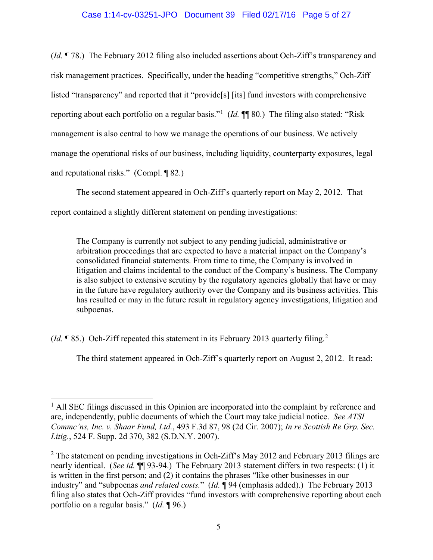# Case 1:14-cv-03251-JPO Document 39 Filed 02/17/16 Page 5 of 27

(*Id.* ¶ 78.) The February 2012 filing also included assertions about Och-Ziff's transparency and risk management practices. Specifically, under the heading "competitive strengths," Och-Ziff listed "transparency" and reported that it "provide[s] [its] fund investors with comprehensive reporting about each portfolio on a regular basis."<sup>[1](#page-4-0)</sup> (*Id.* ¶ 80.) The filing also stated: "Risk management is also central to how we manage the operations of our business. We actively manage the operational risks of our business, including liquidity, counterparty exposures, legal and reputational risks." (Compl. ¶ 82.)

The second statement appeared in Och-Ziff's quarterly report on May 2, 2012. That report contained a slightly different statement on pending investigations:

The Company is currently not subject to any pending judicial, administrative or arbitration proceedings that are expected to have a material impact on the Company's consolidated financial statements. From time to time, the Company is involved in litigation and claims incidental to the conduct of the Company's business. The Company is also subject to extensive scrutiny by the regulatory agencies globally that have or may in the future have regulatory authority over the Company and its business activities. This has resulted or may in the future result in regulatory agency investigations, litigation and subpoenas.

(*Id.* ¶ 85.) Och-Ziff repeated this statement in its February 2013 quarterly filing. [2](#page-4-1)

The third statement appeared in Och-Ziff's quarterly report on August 2, 2012. It read:

<span id="page-4-0"></span> $\overline{a}$ <sup>1</sup> All SEC filings discussed in this Opinion are incorporated into the complaint by reference and are, independently, public documents of which the Court may take judicial notice. *See ATSI Commc'ns, Inc. v. Shaar Fund, Ltd.*, 493 F.3d 87, 98 (2d Cir. 2007); *In re Scottish Re Grp. Sec. Litig.*, 524 F. Supp. 2d 370, 382 (S.D.N.Y. 2007).

<span id="page-4-1"></span><sup>&</sup>lt;sup>2</sup> The statement on pending investigations in Och-Ziff's May 2012 and February 2013 filings are nearly identical. (*See id.* ¶¶ 93-94.) The February 2013 statement differs in two respects: (1) it is written in the first person; and (2) it contains the phrases "like other businesses in our industry" and "subpoenas *and related costs.*" (*Id.* ¶ 94 (emphasis added).) The February 2013 filing also states that Och-Ziff provides "fund investors with comprehensive reporting about each portfolio on a regular basis." (*Id.* ¶ 96.)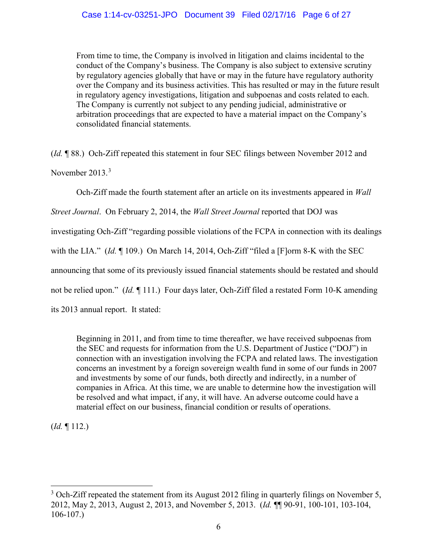From time to time, the Company is involved in litigation and claims incidental to the conduct of the Company's business. The Company is also subject to extensive scrutiny by regulatory agencies globally that have or may in the future have regulatory authority over the Company and its business activities. This has resulted or may in the future result in regulatory agency investigations, litigation and subpoenas and costs related to each. The Company is currently not subject to any pending judicial, administrative or arbitration proceedings that are expected to have a material impact on the Company's consolidated financial statements.

(*Id.* ¶ 88.) Och-Ziff repeated this statement in four SEC filings between November 2012 and November  $2013.<sup>3</sup>$  $2013.<sup>3</sup>$  $2013.<sup>3</sup>$ 

Och-Ziff made the fourth statement after an article on its investments appeared in *Wall* 

*Street Journal*. On February 2, 2014, the *Wall Street Journal* reported that DOJ was

investigating Och-Ziff "regarding possible violations of the FCPA in connection with its dealings

with the LIA." (*Id.* ¶ 109.) On March 14, 2014, Och-Ziff "filed a [F]orm 8-K with the SEC

announcing that some of its previously issued financial statements should be restated and should

not be relied upon." (*Id.* ¶ 111.) Four days later, Och-Ziff filed a restated Form 10-K amending

its 2013 annual report. It stated:

Beginning in 2011, and from time to time thereafter, we have received subpoenas from the SEC and requests for information from the U.S. Department of Justice ("DOJ") in connection with an investigation involving the FCPA and related laws. The investigation concerns an investment by a foreign sovereign wealth fund in some of our funds in 2007 and investments by some of our funds, both directly and indirectly, in a number of companies in Africa. At this time, we are unable to determine how the investigation will be resolved and what impact, if any, it will have. An adverse outcome could have a material effect on our business, financial condition or results of operations.

(*Id.* ¶ 112.)

<span id="page-5-0"></span> $\overline{a}$  $3$  Och-Ziff repeated the statement from its August 2012 filing in quarterly filings on November 5, 2012, May 2, 2013, August 2, 2013, and November 5, 2013. (*Id.* ¶¶ 90-91, 100-101, 103-104, 106-107.)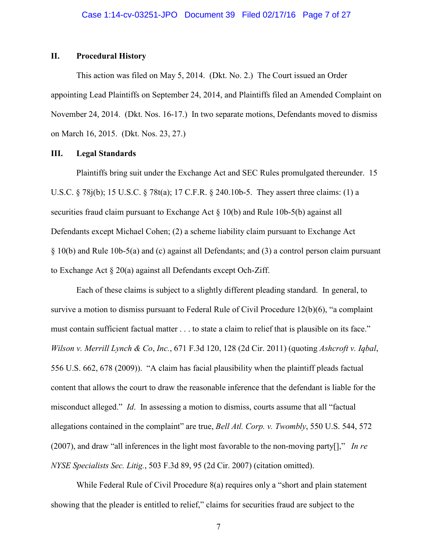# **II. Procedural History**

This action was filed on May 5, 2014. (Dkt. No. 2.) The Court issued an Order appointing Lead Plaintiffs on September 24, 2014, and Plaintiffs filed an Amended Complaint on November 24, 2014. (Dkt. Nos. 16-17.) In two separate motions, Defendants moved to dismiss on March 16, 2015. (Dkt. Nos. 23, 27.)

# **III. Legal Standards**

Plaintiffs bring suit under the Exchange Act and SEC Rules promulgated thereunder. 15 U.S.C. § 78j(b); 15 U.S.C. § 78t(a); 17 C.F.R. § 240.10b-5. They assert three claims: (1) a securities fraud claim pursuant to Exchange Act § 10(b) and Rule 10b-5(b) against all Defendants except Michael Cohen; (2) a scheme liability claim pursuant to Exchange Act § 10(b) and Rule 10b-5(a) and (c) against all Defendants; and (3) a control person claim pursuant to Exchange Act § 20(a) against all Defendants except Och-Ziff.

Each of these claims is subject to a slightly different pleading standard. In general, to survive a motion to dismiss pursuant to Federal Rule of Civil Procedure 12(b)(6), "a complaint must contain sufficient factual matter . . . to state a claim to relief that is plausible on its face." *Wilson v. Merrill Lynch & Co*, *Inc.*, 671 F.3d 120, 128 (2d Cir. 2011) (quoting *Ashcroft v. Iqbal*, 556 U.S. 662, 678 (2009)). "A claim has facial plausibility when the plaintiff pleads factual content that allows the court to draw the reasonable inference that the defendant is liable for the misconduct alleged." *Id*. In assessing a motion to dismiss, courts assume that all "factual allegations contained in the complaint" are true, *Bell Atl. Corp. v. Twombly*, 550 U.S. 544, 572 (2007), and draw "all inferences in the light most favorable to the non-moving party[]," *In re NYSE Specialists Sec. Litig.*, 503 F.3d 89, 95 (2d Cir. 2007) (citation omitted).

While Federal Rule of Civil Procedure 8(a) requires only a "short and plain statement showing that the pleader is entitled to relief," claims for securities fraud are subject to the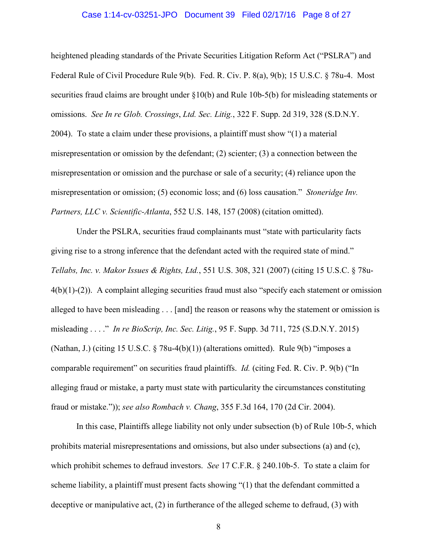### Case 1:14-cv-03251-JPO Document 39 Filed 02/17/16 Page 8 of 27

heightened pleading standards of the Private Securities Litigation Reform Act ("PSLRA") and Federal Rule of Civil Procedure Rule 9(b). Fed. R. Civ. P. 8(a), 9(b); 15 U.S.C. § 78u-4. Most securities fraud claims are brought under §10(b) and Rule 10b-5(b) for misleading statements or omissions. *See In re Glob. Crossings*, *Ltd. Sec. Litig.*, 322 F. Supp. 2d 319, 328 (S.D.N.Y. 2004). To state a claim under these provisions, a plaintiff must show "(1) a material misrepresentation or omission by the defendant; (2) scienter; (3) a connection between the misrepresentation or omission and the purchase or sale of a security; (4) reliance upon the misrepresentation or omission; (5) economic loss; and (6) loss causation." *Stoneridge Inv. Partners, LLC v. Scientific-Atlanta*, 552 U.S. 148, 157 (2008) (citation omitted).

Under the PSLRA, securities fraud complainants must "state with particularity facts giving rise to a strong inference that the defendant acted with the required state of mind." *Tellabs, Inc. v. Makor Issues & Rights, Ltd.*, 551 U.S. 308, 321 (2007) (citing 15 U.S.C. § 78u- $4(b)(1)-(2)$ ). A complaint alleging securities fraud must also "specify each statement or omission alleged to have been misleading . . . [and] the reason or reasons why the statement or omission is misleading . . . ." *In re BioScrip, Inc. Sec. Litig.*, 95 F. Supp. 3d 711, 725 (S.D.N.Y. 2015) (Nathan, J.) (citing 15 U.S.C.  $\S$  78u-4(b)(1)) (alterations omitted). Rule 9(b) "imposes a comparable requirement" on securities fraud plaintiffs. *Id.* (citing Fed. R. Civ. P. 9(b) ("In alleging fraud or mistake, a party must state with particularity the circumstances constituting fraud or mistake.")); *see also Rombach v. Chang*, 355 F.3d 164, 170 (2d Cir. 2004).

In this case, Plaintiffs allege liability not only under subsection (b) of Rule 10b-5, which prohibits material misrepresentations and omissions, but also under subsections (a) and (c), which prohibit schemes to defraud investors. *See* 17 C.F.R. § 240.10b-5. To state a claim for scheme liability, a plaintiff must present facts showing "(1) that the defendant committed a deceptive or manipulative act, (2) in furtherance of the alleged scheme to defraud, (3) with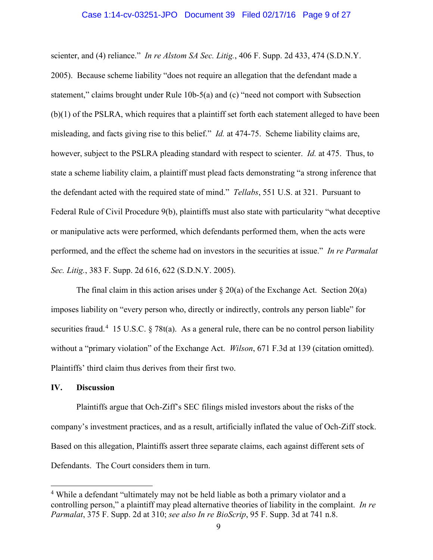### Case 1:14-cv-03251-JPO Document 39 Filed 02/17/16 Page 9 of 27

scienter, and (4) reliance." *In re Alstom SA Sec. Litig.*, 406 F. Supp. 2d 433, 474 (S.D.N.Y. 2005). Because scheme liability "does not require an allegation that the defendant made a statement," claims brought under Rule 10b-5(a) and (c) "need not comport with Subsection (b)(1) of the PSLRA, which requires that a plaintiff set forth each statement alleged to have been misleading, and facts giving rise to this belief." *Id.* at 474-75. Scheme liability claims are, however, subject to the PSLRA pleading standard with respect to scienter. *Id.* at 475.Thus, to state a scheme liability claim, a plaintiff must plead facts demonstrating "a strong inference that the defendant acted with the required state of mind." *Tellabs*, 551 U.S. at 321. Pursuant to Federal Rule of Civil Procedure 9(b), plaintiffs must also state with particularity "what deceptive or manipulative acts were performed, which defendants performed them, when the acts were performed, and the effect the scheme had on investors in the securities at issue." *In re Parmalat Sec. Litig.*, 383 F. Supp. 2d 616, 622 (S.D.N.Y. 2005).

The final claim in this action arises under  $\S 20(a)$  of the Exchange Act. Section 20(a) imposes liability on "every person who, directly or indirectly, controls any person liable" for securities fraud.<sup>[4](#page-8-0)</sup> 15 U.S.C. § 78t(a). As a general rule, there can be no control person liability without a "primary violation" of the Exchange Act. *Wilson*, 671 F.3d at 139 (citation omitted). Plaintiffs' third claim thus derives from their first two.

### **IV. Discussion**

 $\overline{a}$ 

Plaintiffs argue that Och-Ziff's SEC filings misled investors about the risks of the company's investment practices, and as a result, artificially inflated the value of Och-Ziff stock. Based on this allegation, Plaintiffs assert three separate claims, each against different sets of Defendants. The Court considers them in turn.

<span id="page-8-0"></span><sup>&</sup>lt;sup>4</sup> While a defendant "ultimately may not be held liable as both a primary violator and a controlling person," a plaintiff may plead alternative theories of liability in the complaint. *In re Parmalat*, 375 F. Supp. 2d at 310; *see also In re BioScrip*, 95 F. Supp. 3d at 741 n.8.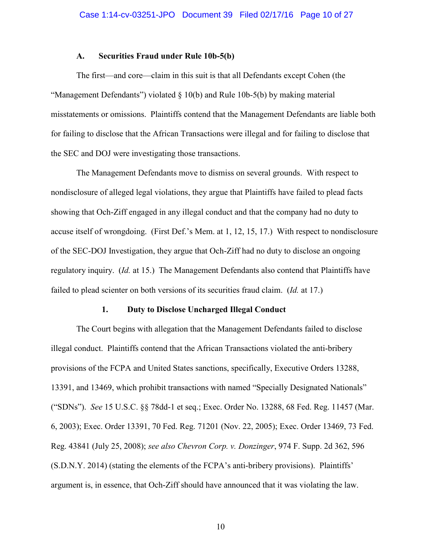### **A. Securities Fraud under Rule 10b-5(b)**

The first—and core—claim in this suit is that all Defendants except Cohen (the "Management Defendants") violated  $\S$  10(b) and Rule 10b-5(b) by making material misstatements or omissions. Plaintiffs contend that the Management Defendants are liable both for failing to disclose that the African Transactions were illegal and for failing to disclose that the SEC and DOJ were investigating those transactions.

The Management Defendants move to dismiss on several grounds. With respect to nondisclosure of alleged legal violations, they argue that Plaintiffs have failed to plead facts showing that Och-Ziff engaged in any illegal conduct and that the company had no duty to accuse itself of wrongdoing. (First Def.'s Mem. at 1, 12, 15, 17.) With respect to nondisclosure of the SEC-DOJ Investigation, they argue that Och-Ziff had no duty to disclose an ongoing regulatory inquiry. (*Id.* at 15.) The Management Defendants also contend that Plaintiffs have failed to plead scienter on both versions of its securities fraud claim. (*Id.* at 17.)

### **1. Duty to Disclose Uncharged Illegal Conduct**

 The Court begins with allegation that the Management Defendants failed to disclose illegal conduct. Plaintiffs contend that the African Transactions violated the anti-bribery provisions of the FCPA and United States sanctions, specifically, Executive Orders 13288, 13391, and 13469, which prohibit transactions with named "Specially Designated Nationals" ("SDNs"). *See* 15 U.S.C. §§ 78dd-1 et seq.; Exec. Order No. 13288, 68 Fed. Reg. 11457 (Mar. 6, 2003); Exec. Order 13391, 70 Fed. Reg. 71201 (Nov. 22, 2005); Exec. Order 13469, 73 Fed. Reg. 43841 (July 25, 2008); *see also Chevron Corp. v. Donzinger*, 974 F. Supp. 2d 362, 596 (S.D.N.Y. 2014) (stating the elements of the FCPA's anti-bribery provisions). Plaintiffs' argument is, in essence, that Och-Ziff should have announced that it was violating the law.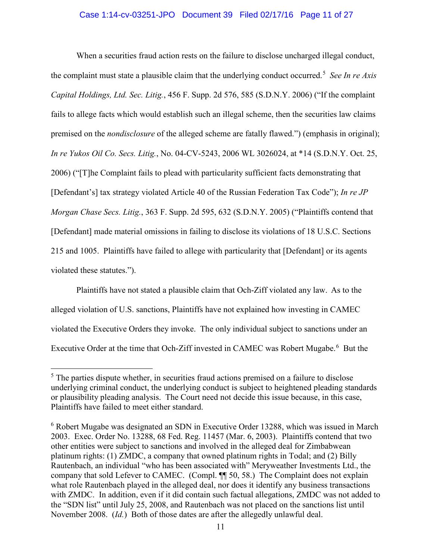# Case 1:14-cv-03251-JPO Document 39 Filed 02/17/16 Page 11 of 27

When a securities fraud action rests on the failure to disclose uncharged illegal conduct, the complaint must state a plausible claim that the underlying conduct occurred.[5](#page-10-0) *See In re Axis Capital Holdings, Ltd. Sec. Litig.*, 456 F. Supp. 2d 576, 585 (S.D.N.Y. 2006) ("If the complaint fails to allege facts which would establish such an illegal scheme, then the securities law claims premised on the *nondisclosure* of the alleged scheme are fatally flawed.") (emphasis in original); *In re Yukos Oil Co. Secs. Litig.*, No. 04-CV-5243, 2006 WL 3026024, at \*14 (S.D.N.Y. Oct. 25, 2006) ("[T]he Complaint fails to plead with particularity sufficient facts demonstrating that [Defendant's] tax strategy violated Article 40 of the Russian Federation Tax Code"); *In re JP Morgan Chase Secs. Litig.*, 363 F. Supp. 2d 595, 632 (S.D.N.Y. 2005) ("Plaintiffs contend that [Defendant] made material omissions in failing to disclose its violations of 18 U.S.C. Sections 215 and 1005. Plaintiffs have failed to allege with particularity that [Defendant] or its agents violated these statutes.").

Plaintiffs have not stated a plausible claim that Och-Ziff violated any law. As to the alleged violation of U.S. sanctions, Plaintiffs have not explained how investing in CAMEC violated the Executive Orders they invoke. The only individual subject to sanctions under an Executive Order at the time that Och-Ziff invested in CAMEC was Robert Mugabe.<sup>[6](#page-10-1)</sup> But the

 $\overline{a}$ 

<span id="page-10-0"></span><sup>&</sup>lt;sup>5</sup> The parties dispute whether, in securities fraud actions premised on a failure to disclose underlying criminal conduct, the underlying conduct is subject to heightened pleading standards or plausibility pleading analysis. The Court need not decide this issue because, in this case, Plaintiffs have failed to meet either standard.

<span id="page-10-1"></span><sup>&</sup>lt;sup>6</sup> Robert Mugabe was designated an SDN in Executive Order 13288, which was issued in March 2003. Exec. Order No. 13288, 68 Fed. Reg. 11457 (Mar. 6, 2003). Plaintiffs contend that two other entities were subject to sanctions and involved in the alleged deal for Zimbabwean platinum rights: (1) ZMDC, a company that owned platinum rights in Todal; and (2) Billy Rautenbach, an individual "who has been associated with" Meryweather Investments Ltd., the company that sold Lefever to CAMEC. (Compl. ¶¶ 50, 58.) The Complaint does not explain what role Rautenbach played in the alleged deal, nor does it identify any business transactions with ZMDC. In addition, even if it did contain such factual allegations, ZMDC was not added to the "SDN list" until July 25, 2008, and Rautenbach was not placed on the sanctions list until November 2008. (*Id.*) Both of those dates are after the allegedly unlawful deal.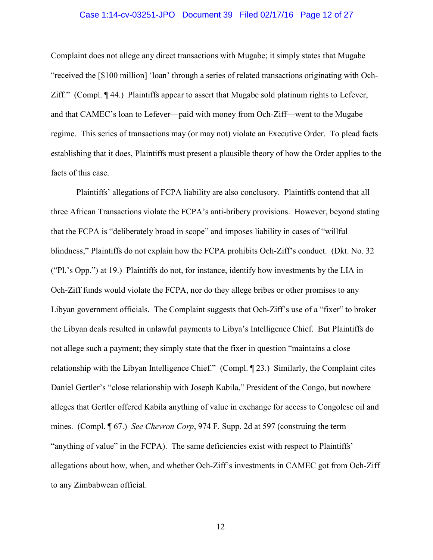### Case 1:14-cv-03251-JPO Document 39 Filed 02/17/16 Page 12 of 27

Complaint does not allege any direct transactions with Mugabe; it simply states that Mugabe "received the [\$100 million] 'loan' through a series of related transactions originating with Och-Ziff." (Compl. ¶ 44.) Plaintiffs appear to assert that Mugabe sold platinum rights to Lefever, and that CAMEC's loan to Lefever—paid with money from Och-Ziff—went to the Mugabe regime. This series of transactions may (or may not) violate an Executive Order. To plead facts establishing that it does, Plaintiffs must present a plausible theory of how the Order applies to the facts of this case.

Plaintiffs' allegations of FCPA liability are also conclusory. Plaintiffs contend that all three African Transactions violate the FCPA's anti-bribery provisions. However, beyond stating that the FCPA is "deliberately broad in scope" and imposes liability in cases of "willful blindness," Plaintiffs do not explain how the FCPA prohibits Och-Ziff's conduct. (Dkt. No. 32 ("Pl.'s Opp.") at 19.) Plaintiffs do not, for instance, identify how investments by the LIA in Och-Ziff funds would violate the FCPA, nor do they allege bribes or other promises to any Libyan government officials. The Complaint suggests that Och-Ziff's use of a "fixer" to broker the Libyan deals resulted in unlawful payments to Libya's Intelligence Chief. But Plaintiffs do not allege such a payment; they simply state that the fixer in question "maintains a close relationship with the Libyan Intelligence Chief." (Compl. ¶ 23.) Similarly, the Complaint cites Daniel Gertler's "close relationship with Joseph Kabila," President of the Congo, but nowhere alleges that Gertler offered Kabila anything of value in exchange for access to Congolese oil and mines. (Compl. ¶ 67.) *See Chevron Corp*, 974 F. Supp. 2d at 597 (construing the term "anything of value" in the FCPA). The same deficiencies exist with respect to Plaintiffs' allegations about how, when, and whether Och-Ziff's investments in CAMEC got from Och-Ziff to any Zimbabwean official.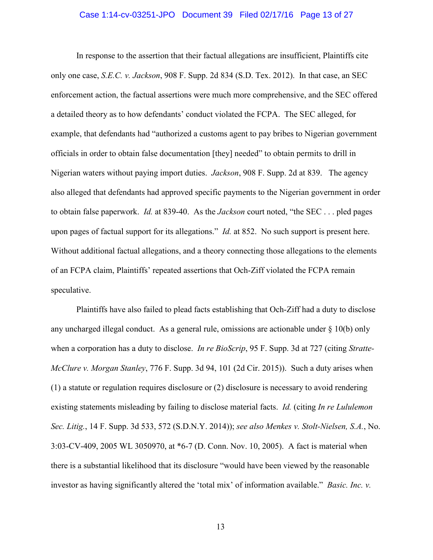### Case 1:14-cv-03251-JPO Document 39 Filed 02/17/16 Page 13 of 27

 In response to the assertion that their factual allegations are insufficient, Plaintiffs cite only one case, *S.E.C. v. Jackson*, 908 F. Supp. 2d 834 (S.D. Tex. 2012). In that case, an SEC enforcement action, the factual assertions were much more comprehensive, and the SEC offered a detailed theory as to how defendants' conduct violated the FCPA. The SEC alleged, for example, that defendants had "authorized a customs agent to pay bribes to Nigerian government officials in order to obtain false documentation [they] needed" to obtain permits to drill in Nigerian waters without paying import duties. *Jackson*, 908 F. Supp. 2d at 839. The agency also alleged that defendants had approved specific payments to the Nigerian government in order to obtain false paperwork. *Id.* at 839-40. As the *Jackson* court noted, "the SEC . . . pled pages upon pages of factual support for its allegations." *Id.* at 852. No such support is present here. Without additional factual allegations, and a theory connecting those allegations to the elements of an FCPA claim, Plaintiffs' repeated assertions that Och-Ziff violated the FCPA remain speculative.

Plaintiffs have also failed to plead facts establishing that Och-Ziff had a duty to disclose any uncharged illegal conduct. As a general rule, omissions are actionable under  $\S$  10(b) only when a corporation has a duty to disclose. *In re BioScrip*, 95 F. Supp. 3d at 727 (citing *Stratte-McClure v. Morgan Stanley*, 776 F. Supp. 3d 94, 101 (2d Cir. 2015)). Such a duty arises when (1) a statute or regulation requires disclosure or (2) disclosure is necessary to avoid rendering existing statements misleading by failing to disclose material facts. *Id.* (citing *In re Lululemon Sec. Litig.*, 14 F. Supp. 3d 533, 572 (S.D.N.Y. 2014)); *see also Menkes v. Stolt-Nielsen, S.A.*, No. 3:03-CV-409, 2005 WL 3050970, at \*6-7 (D. Conn. Nov. 10, 2005). A fact is material when there is a substantial likelihood that its disclosure "would have been viewed by the reasonable investor as having significantly altered the 'total mix' of information available." *Basic. Inc. v.*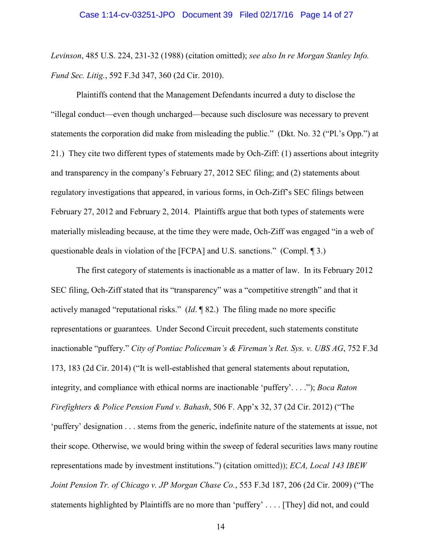*Levinson*, 485 U.S. 224, 231-32 (1988) (citation omitted); *see also In re Morgan Stanley Info. Fund Sec. Litig.*, 592 F.3d 347, 360 (2d Cir. 2010).

Plaintiffs contend that the Management Defendants incurred a duty to disclose the "illegal conduct—even though uncharged—because such disclosure was necessary to prevent statements the corporation did make from misleading the public." (Dkt. No. 32 ("Pl.'s Opp.") at 21.) They cite two different types of statements made by Och-Ziff: (1) assertions about integrity and transparency in the company's February 27, 2012 SEC filing; and (2) statements about regulatory investigations that appeared, in various forms, in Och-Ziff's SEC filings between February 27, 2012 and February 2, 2014. Plaintiffs argue that both types of statements were materially misleading because, at the time they were made, Och-Ziff was engaged "in a web of questionable deals in violation of the [FCPA] and U.S. sanctions." (Compl. ¶ 3.)

The first category of statements is inactionable as a matter of law. In its February 2012 SEC filing, Och-Ziff stated that its "transparency" was a "competitive strength" and that it actively managed "reputational risks." (*Id*. ¶ 82.) The filing made no more specific representations or guarantees. Under Second Circuit precedent, such statements constitute inactionable "puffery." *City of Pontiac Policeman's & Fireman's Ret. Sys. v. UBS AG*, 752 F.3d 173, 183 (2d Cir. 2014) ("It is well-established that general statements about reputation, integrity, and compliance with ethical norms are inactionable 'puffery'. . . ."); *Boca Raton Firefighters & Police Pension Fund v. Bahash*, 506 F. App'x 32, 37 (2d Cir. 2012) ("The 'puffery' designation . . . stems from the generic, indefinite nature of the statements at issue, not their scope. Otherwise, we would bring within the sweep of federal securities laws many routine representations made by investment institutions.") (citation omitted)); *ECA, Local 143 IBEW Joint Pension Tr. of Chicago v. JP Morgan Chase Co.*, 553 F.3d 187, 206 (2d Cir. 2009) ("The statements highlighted by Plaintiffs are no more than 'puffery' . . . . [They] did not, and could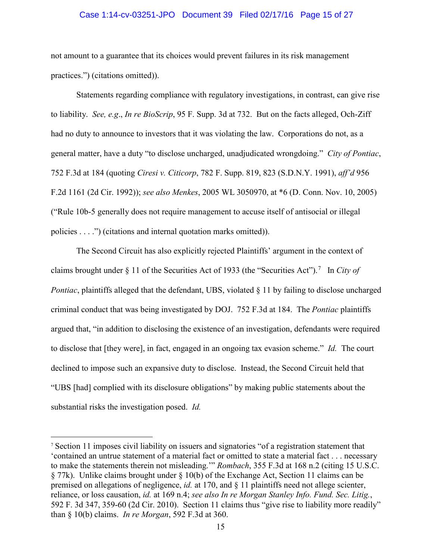# Case 1:14-cv-03251-JPO Document 39 Filed 02/17/16 Page 15 of 27

not amount to a guarantee that its choices would prevent failures in its risk management practices.") (citations omitted)).

Statements regarding compliance with regulatory investigations, in contrast, can give rise to liability. *See, e.g*., *In re BioScrip*, 95 F. Supp. 3d at 732. But on the facts alleged, Och-Ziff had no duty to announce to investors that it was violating the law. Corporations do not, as a general matter, have a duty "to disclose uncharged, unadjudicated wrongdoing." *City of Pontiac*, 752 F.3d at 184 (quoting *Ciresi v. Citicorp*, 782 F. Supp. 819, 823 (S.D.N.Y. 1991), *aff'd* 956 F.2d 1161 (2d Cir. 1992)); *see also Menkes*, 2005 WL 3050970, at \*6 (D. Conn. Nov. 10, 2005) ("Rule 10b-5 generally does not require management to accuse itself of antisocial or illegal policies . . . .") (citations and internal quotation marks omitted)).

The Second Circuit has also explicitly rejected Plaintiffs' argument in the context of claims brought under § 11 of the Securities Act of 1933 (the "Securities Act"). [7](#page-14-0) In *City of Pontiac*, plaintiffs alleged that the defendant, UBS, violated § 11 by failing to disclose uncharged criminal conduct that was being investigated by DOJ. 752 F.3d at 184. The *Pontiac* plaintiffs argued that, "in addition to disclosing the existence of an investigation, defendants were required to disclose that [they were], in fact, engaged in an ongoing tax evasion scheme." *Id.* The court declined to impose such an expansive duty to disclose. Instead, the Second Circuit held that "UBS [had] complied with its disclosure obligations" by making public statements about the substantial risks the investigation posed. *Id.*

 $\overline{a}$ 

<span id="page-14-0"></span><sup>7</sup> Section 11 imposes civil liability on issuers and signatories "of a registration statement that 'contained an untrue statement of a material fact or omitted to state a material fact . . . necessary to make the statements therein not misleading.'" *Rombach*, 355 F.3d at 168 n.2 (citing 15 U.S.C. § 77k). Unlike claims brought under § 10(b) of the Exchange Act, Section 11 claims can be premised on allegations of negligence, *id.* at 170, and § 11 plaintiffs need not allege scienter, reliance, or loss causation, *id.* at 169 n.4; *see also In re Morgan Stanley Info. Fund. Sec. Litig.*, 592 F. 3d 347, 359-60 (2d Cir. 2010). Section 11 claims thus "give rise to liability more readily" than § 10(b) claims. *In re Morgan*, 592 F.3d at 360.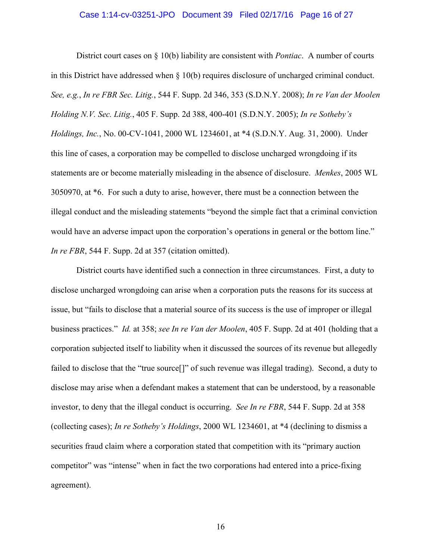### Case 1:14-cv-03251-JPO Document 39 Filed 02/17/16 Page 16 of 27

District court cases on § 10(b) liability are consistent with *Pontiac*. A number of courts in this District have addressed when  $\S$  10(b) requires disclosure of uncharged criminal conduct. *See, e.g.*, *In re FBR Sec. Litig.*, 544 F. Supp. 2d 346, 353 (S.D.N.Y. 2008); *In re Van der Moolen Holding N.V. Sec. Litig.*, 405 F. Supp. 2d 388, 400-401 (S.D.N.Y. 2005); *In re Sotheby's Holdings, Inc.*, No. 00-CV-1041, 2000 WL 1234601, at \*4 (S.D.N.Y. Aug. 31, 2000). Under this line of cases, a corporation may be compelled to disclose uncharged wrongdoing if its statements are or become materially misleading in the absence of disclosure. *Menkes*, 2005 WL 3050970, at \*6. For such a duty to arise, however, there must be a connection between the illegal conduct and the misleading statements "beyond the simple fact that a criminal conviction would have an adverse impact upon the corporation's operations in general or the bottom line." *In re FBR*, 544 F. Supp. 2d at 357 (citation omitted).

District courts have identified such a connection in three circumstances. First, a duty to disclose uncharged wrongdoing can arise when a corporation puts the reasons for its success at issue, but "fails to disclose that a material source of its success is the use of improper or illegal business practices." *Id.* at 358; *see In re Van der Moolen*, 405 F. Supp. 2d at 401 (holding that a corporation subjected itself to liability when it discussed the sources of its revenue but allegedly failed to disclose that the "true source<sup>[]"</sup> of such revenue was illegal trading). Second, a duty to disclose may arise when a defendant makes a statement that can be understood, by a reasonable investor, to deny that the illegal conduct is occurring. *See In re FBR*, 544 F. Supp. 2d at 358 (collecting cases); *In re Sotheby's Holdings*, 2000 WL 1234601, at \*4 (declining to dismiss a securities fraud claim where a corporation stated that competition with its "primary auction competitor" was "intense" when in fact the two corporations had entered into a price-fixing agreement).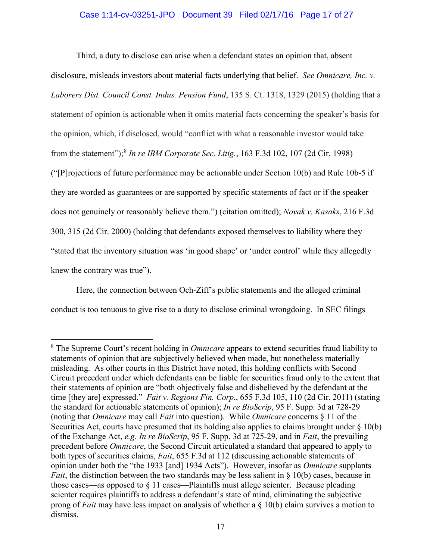# Case 1:14-cv-03251-JPO Document 39 Filed 02/17/16 Page 17 of 27

Third, a duty to disclose can arise when a defendant states an opinion that, absent disclosure, misleads investors about material facts underlying that belief. *See Omnicare, Inc. v. Laborers Dist. Council Const. Indus. Pension Fund*, 135 S. Ct. 1318, 1329 (2015) (holding that a statement of opinion is actionable when it omits material facts concerning the speaker's basis for the opinion, which, if disclosed, would "conflict with what a reasonable investor would take from the statement");[8](#page-16-0) *In re IBM Corporate Sec. Litig.*, 163 F.3d 102, 107 (2d Cir. 1998) (" $[P]$ rojections of future performance may be actionable under Section 10(b) and Rule 10b-5 if they are worded as guarantees or are supported by specific statements of fact or if the speaker does not genuinely or reasonably believe them.") (citation omitted); *Novak v. Kasaks*, 216 F.3d 300, 315 (2d Cir. 2000) (holding that defendants exposed themselves to liability where they "stated that the inventory situation was 'in good shape' or 'under control' while they allegedly knew the contrary was true").

Here, the connection between Och-Ziff's public statements and the alleged criminal conduct is too tenuous to give rise to a duty to disclose criminal wrongdoing. In SEC filings

 $\overline{a}$ 

<span id="page-16-0"></span><sup>8</sup> The Supreme Court's recent holding in *Omnicare* appears to extend securities fraud liability to statements of opinion that are subjectively believed when made, but nonetheless materially misleading. As other courts in this District have noted, this holding conflicts with Second Circuit precedent under which defendants can be liable for securities fraud only to the extent that their statements of opinion are "both objectively false and disbelieved by the defendant at the time [they are] expressed." *Fait v. Regions Fin. Corp.*, 655 F.3d 105, 110 (2d Cir. 2011) (stating the standard for actionable statements of opinion); *In re BioScrip*, 95 F. Supp. 3d at 728-29 (noting that *Omnicare* may call *Fait* into question). While *Omnicare* concerns § 11 of the Securities Act, courts have presumed that its holding also applies to claims brought under § 10(b) of the Exchange Act, *e.g. In re BioScrip*, 95 F. Supp. 3d at 725-29, and in *Fait*, the prevailing precedent before *Omnicare*, the Second Circuit articulated a standard that appeared to apply to both types of securities claims, *Fait*, 655 F.3d at 112 (discussing actionable statements of opinion under both the "the 1933 [and] 1934 Acts"). However, insofar as *Omnicare* supplants *Fait*, the distinction between the two standards may be less salient in § 10(b) cases, because in those cases—as opposed to § 11 cases—Plaintiffs must allege scienter. Because pleading scienter requires plaintiffs to address a defendant's state of mind, eliminating the subjective prong of *Fait* may have less impact on analysis of whether a § 10(b) claim survives a motion to dismiss.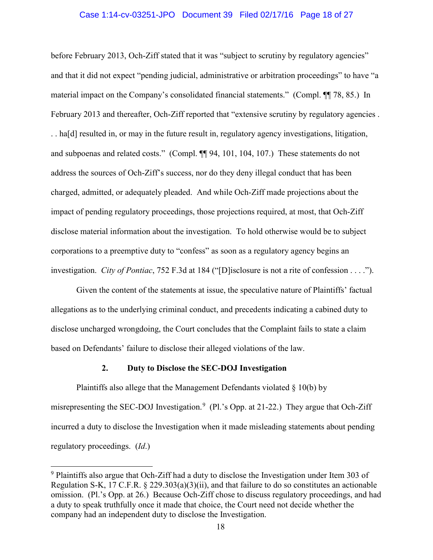### Case 1:14-cv-03251-JPO Document 39 Filed 02/17/16 Page 18 of 27

before February 2013, Och-Ziff stated that it was "subject to scrutiny by regulatory agencies" and that it did not expect "pending judicial, administrative or arbitration proceedings" to have "a material impact on the Company's consolidated financial statements." (Compl. ¶¶ 78, 85.) In February 2013 and thereafter, Och-Ziff reported that "extensive scrutiny by regulatory agencies . . . ha[d] resulted in, or may in the future result in, regulatory agency investigations, litigation, and subpoenas and related costs." (Compl. ¶¶ 94, 101, 104, 107.) These statements do not address the sources of Och-Ziff's success, nor do they deny illegal conduct that has been charged, admitted, or adequately pleaded. And while Och-Ziff made projections about the impact of pending regulatory proceedings, those projections required, at most, that Och-Ziff disclose material information about the investigation. To hold otherwise would be to subject corporations to a preemptive duty to "confess" as soon as a regulatory agency begins an investigation. *City of Pontiac*, 752 F.3d at 184 ("[D]isclosure is not a rite of confession . . . .").

Given the content of the statements at issue, the speculative nature of Plaintiffs' factual allegations as to the underlying criminal conduct, and precedents indicating a cabined duty to disclose uncharged wrongdoing, the Court concludes that the Complaint fails to state a claim based on Defendants' failure to disclose their alleged violations of the law.

### **2. Duty to Disclose the SEC-DOJ Investigation**

 $\overline{a}$ 

Plaintiffs also allege that the Management Defendants violated § 10(b) by misrepresenting the SEC-DOJ Investigation.<sup>[9](#page-17-0)</sup> (Pl.'s Opp. at 21-22.) They argue that Och-Ziff incurred a duty to disclose the Investigation when it made misleading statements about pending regulatory proceedings. (*Id*.)

<span id="page-17-0"></span><sup>&</sup>lt;sup>9</sup> Plaintiffs also argue that Och-Ziff had a duty to disclose the Investigation under Item 303 of Regulation S-K, 17 C.F.R. § 229.303(a)(3)(ii), and that failure to do so constitutes an actionable omission. (Pl.'s Opp. at 26.) Because Och-Ziff chose to discuss regulatory proceedings, and had a duty to speak truthfully once it made that choice, the Court need not decide whether the company had an independent duty to disclose the Investigation.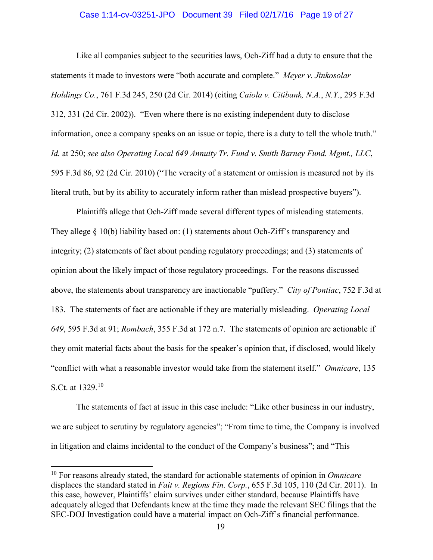### Case 1:14-cv-03251-JPO Document 39 Filed 02/17/16 Page 19 of 27

Like all companies subject to the securities laws, Och-Ziff had a duty to ensure that the statements it made to investors were "both accurate and complete." *Meyer v. Jinkosolar Holdings Co.*, 761 F.3d 245, 250 (2d Cir. 2014) (citing *Caiola v. Citibank, N.A.*, *N.Y.*, 295 F.3d 312, 331 (2d Cir. 2002)). "Even where there is no existing independent duty to disclose information, once a company speaks on an issue or topic, there is a duty to tell the whole truth." *Id.* at 250; *see also Operating Local 649 Annuity Tr. Fund v. Smith Barney Fund. Mgmt., LLC*, 595 F.3d 86, 92 (2d Cir. 2010) ("The veracity of a statement or omission is measured not by its literal truth, but by its ability to accurately inform rather than mislead prospective buyers").

Plaintiffs allege that Och-Ziff made several different types of misleading statements. They allege § 10(b) liability based on: (1) statements about Och-Ziff's transparency and integrity; (2) statements of fact about pending regulatory proceedings; and (3) statements of opinion about the likely impact of those regulatory proceedings. For the reasons discussed above, the statements about transparency are inactionable "puffery." *City of Pontiac*, 752 F.3d at 183. The statements of fact are actionable if they are materially misleading. *Operating Local 649*, 595 F.3d at 91; *Rombach*, 355 F.3d at 172 n.7. The statements of opinion are actionable if they omit material facts about the basis for the speaker's opinion that, if disclosed, would likely "conflict with what a reasonable investor would take from the statement itself." *Omnicare*, 135 S.Ct. at 1329.[10](#page-18-0)

The statements of fact at issue in this case include: "Like other business in our industry, we are subject to scrutiny by regulatory agencies"; "From time to time, the Company is involved in litigation and claims incidental to the conduct of the Company's business"; and "This

 $\overline{a}$ 

<span id="page-18-0"></span><sup>10</sup> For reasons already stated, the standard for actionable statements of opinion in *Omnicare* displaces the standard stated in *Fait v. Regions Fin. Corp.*, 655 F.3d 105, 110 (2d Cir. 2011). In this case, however, Plaintiffs' claim survives under either standard, because Plaintiffs have adequately alleged that Defendants knew at the time they made the relevant SEC filings that the SEC-DOJ Investigation could have a material impact on Och-Ziff's financial performance.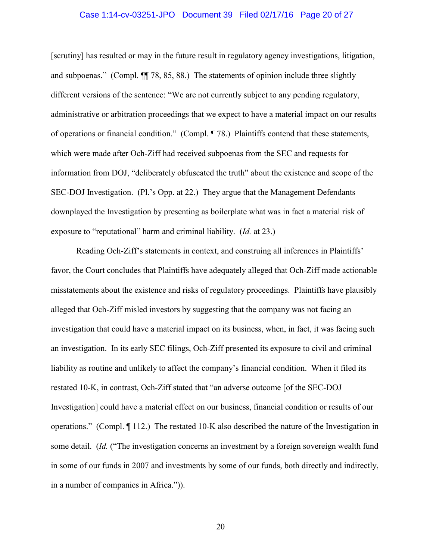### Case 1:14-cv-03251-JPO Document 39 Filed 02/17/16 Page 20 of 27

[scrutiny] has resulted or may in the future result in regulatory agency investigations, litigation, and subpoenas." (Compl. ¶¶ 78, 85, 88.) The statements of opinion include three slightly different versions of the sentence: "We are not currently subject to any pending regulatory, administrative or arbitration proceedings that we expect to have a material impact on our results of operations or financial condition." (Compl. ¶ 78.) Plaintiffs contend that these statements, which were made after Och-Ziff had received subpoenas from the SEC and requests for information from DOJ, "deliberately obfuscated the truth" about the existence and scope of the SEC-DOJ Investigation. (Pl.'s Opp. at 22.) They argue that the Management Defendants downplayed the Investigation by presenting as boilerplate what was in fact a material risk of exposure to "reputational" harm and criminal liability. (*Id.* at 23.)

Reading Och-Ziff's statements in context, and construing all inferences in Plaintiffs' favor, the Court concludes that Plaintiffs have adequately alleged that Och-Ziff made actionable misstatements about the existence and risks of regulatory proceedings. Plaintiffs have plausibly alleged that Och-Ziff misled investors by suggesting that the company was not facing an investigation that could have a material impact on its business, when, in fact, it was facing such an investigation. In its early SEC filings, Och-Ziff presented its exposure to civil and criminal liability as routine and unlikely to affect the company's financial condition. When it filed its restated 10-K, in contrast, Och-Ziff stated that "an adverse outcome [of the SEC-DOJ Investigation] could have a material effect on our business, financial condition or results of our operations." (Compl. ¶ 112.) The restated 10-K also described the nature of the Investigation in some detail. (*Id.* ("The investigation concerns an investment by a foreign sovereign wealth fund in some of our funds in 2007 and investments by some of our funds, both directly and indirectly, in a number of companies in Africa.")).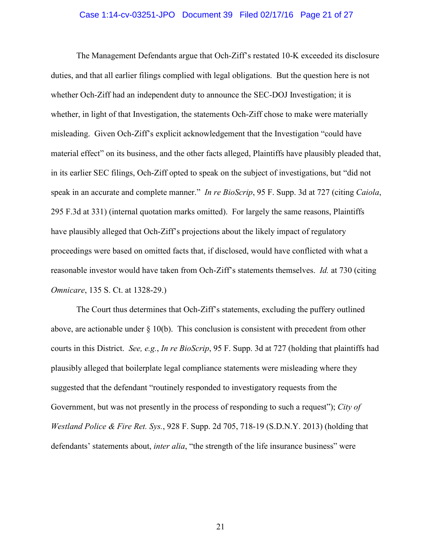### Case 1:14-cv-03251-JPO Document 39 Filed 02/17/16 Page 21 of 27

The Management Defendants argue that Och-Ziff's restated 10-K exceeded its disclosure duties, and that all earlier filings complied with legal obligations. But the question here is not whether Och-Ziff had an independent duty to announce the SEC-DOJ Investigation; it is whether, in light of that Investigation, the statements Och-Ziff chose to make were materially misleading. Given Och-Ziff's explicit acknowledgement that the Investigation "could have material effect" on its business, and the other facts alleged, Plaintiffs have plausibly pleaded that, in its earlier SEC filings, Och-Ziff opted to speak on the subject of investigations, but "did not speak in an accurate and complete manner." *In re BioScrip*, 95 F. Supp. 3d at 727 (citing *Caiola*, 295 F.3d at 331) (internal quotation marks omitted). For largely the same reasons, Plaintiffs have plausibly alleged that Och-Ziff's projections about the likely impact of regulatory proceedings were based on omitted facts that, if disclosed, would have conflicted with what a reasonable investor would have taken from Och-Ziff's statements themselves. *Id.* at 730 (citing *Omnicare*, 135 S. Ct. at 1328-29.)

The Court thus determines that Och-Ziff's statements, excluding the puffery outlined above, are actionable under  $\S 10(b)$ . This conclusion is consistent with precedent from other courts in this District. *See, e.g.*, *In re BioScrip*, 95 F. Supp. 3d at 727 (holding that plaintiffs had plausibly alleged that boilerplate legal compliance statements were misleading where they suggested that the defendant "routinely responded to investigatory requests from the Government, but was not presently in the process of responding to such a request"); *City of Westland Police & Fire Ret. Sys.*, 928 F. Supp. 2d 705, 718-19 (S.D.N.Y. 2013) (holding that defendants' statements about, *inter alia*, "the strength of the life insurance business" were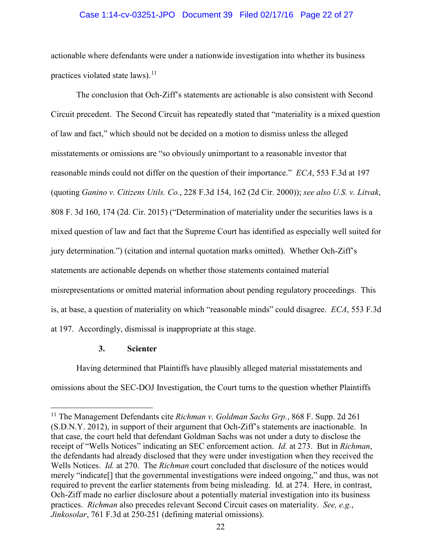# Case 1:14-cv-03251-JPO Document 39 Filed 02/17/16 Page 22 of 27

actionable where defendants were under a nationwide investigation into whether its business practices violated state laws). $^{11}$  $^{11}$  $^{11}$ 

The conclusion that Och-Ziff's statements are actionable is also consistent with Second Circuit precedent. The Second Circuit has repeatedly stated that "materiality is a mixed question of law and fact," which should not be decided on a motion to dismiss unless the alleged misstatements or omissions are "so obviously unimportant to a reasonable investor that reasonable minds could not differ on the question of their importance." *ECA*, 553 F.3d at 197 (quoting *Ganino v. Citizens Utils. Co.*, 228 F.3d 154, 162 (2d Cir. 2000)); *see also U.S. v. Litvak*, 808 F. 3d 160, 174 (2d. Cir. 2015) ("Determination of materiality under the securities laws is a mixed question of law and fact that the Supreme Court has identified as especially well suited for jury determination.") (citation and internal quotation marks omitted). Whether Och-Ziff's statements are actionable depends on whether those statements contained material misrepresentations or omitted material information about pending regulatory proceedings. This is, at base, a question of materiality on which "reasonable minds" could disagree. *ECA*, 553 F.3d at 197. Accordingly, dismissal is inappropriate at this stage.

# **3. Scienter**

 $\overline{a}$ 

Having determined that Plaintiffs have plausibly alleged material misstatements and omissions about the SEC-DOJ Investigation, the Court turns to the question whether Plaintiffs

<span id="page-21-0"></span><sup>11</sup> The Management Defendants cite *Richman v. Goldman Sachs Grp.*, 868 F. Supp. 2d 261 (S.D.N.Y. 2012), in support of their argument that Och-Ziff's statements are inactionable. In that case, the court held that defendant Goldman Sachs was not under a duty to disclose the receipt of "Wells Notices" indicating an SEC enforcement action. *Id.* at 273. But in *Richman*, the defendants had already disclosed that they were under investigation when they received the Wells Notices. *Id.* at 270. The *Richman* court concluded that disclosure of the notices would merely "indicate[] that the governmental investigations were indeed ongoing," and thus, was not required to prevent the earlier statements from being misleading. Id. at 274. Here, in contrast, Och-Ziff made no earlier disclosure about a potentially material investigation into its business practices. *Richman* also precedes relevant Second Circuit cases on materiality. *See, e.g.*, *Jinkosolar*, 761 F.3d at 250-251 (defining material omissions).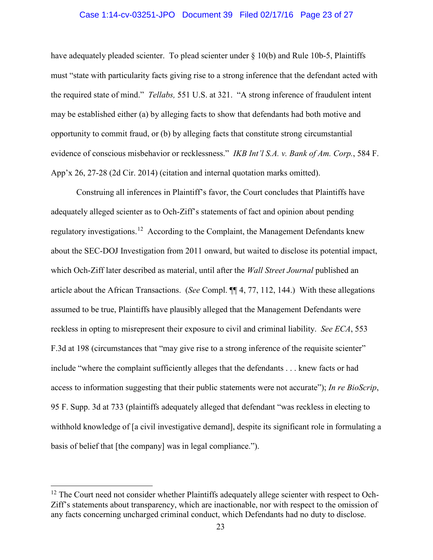### Case 1:14-cv-03251-JPO Document 39 Filed 02/17/16 Page 23 of 27

have adequately pleaded scienter. To plead scienter under  $\S$  10(b) and Rule 10b-5, Plaintiffs must "state with particularity facts giving rise to a strong inference that the defendant acted with the required state of mind." *Tellabs,* 551 U.S. at 321. "A strong inference of fraudulent intent may be established either (a) by alleging facts to show that defendants had both motive and opportunity to commit fraud, or (b) by alleging facts that constitute strong circumstantial evidence of conscious misbehavior or recklessness." *IKB Int'l S.A. v. Bank of Am. Corp.*, 584 F. App'x 26, 27-28 (2d Cir. 2014) (citation and internal quotation marks omitted).

Construing all inferences in Plaintiff's favor, the Court concludes that Plaintiffs have adequately alleged scienter as to Och-Ziff's statements of fact and opinion about pending regulatory investigations.[12](#page-22-0) According to the Complaint, the Management Defendants knew about the SEC-DOJ Investigation from 2011 onward, but waited to disclose its potential impact, which Och-Ziff later described as material, until after the *Wall Street Journal* published an article about the African Transactions. (*See* Compl. ¶¶ 4, 77, 112, 144.) With these allegations assumed to be true, Plaintiffs have plausibly alleged that the Management Defendants were reckless in opting to misrepresent their exposure to civil and criminal liability. *See ECA*, 553 F.3d at 198 (circumstances that "may give rise to a strong inference of the requisite scienter" include "where the complaint sufficiently alleges that the defendants . . . knew facts or had access to information suggesting that their public statements were not accurate"); *In re BioScrip*, 95 F. Supp. 3d at 733 (plaintiffs adequately alleged that defendant "was reckless in electing to withhold knowledge of [a civil investigative demand], despite its significant role in formulating a basis of belief that [the company] was in legal compliance.").

 $\overline{a}$ 

<span id="page-22-0"></span><sup>&</sup>lt;sup>12</sup> The Court need not consider whether Plaintiffs adequately allege scienter with respect to Och-Ziff's statements about transparency, which are inactionable, nor with respect to the omission of any facts concerning uncharged criminal conduct, which Defendants had no duty to disclose.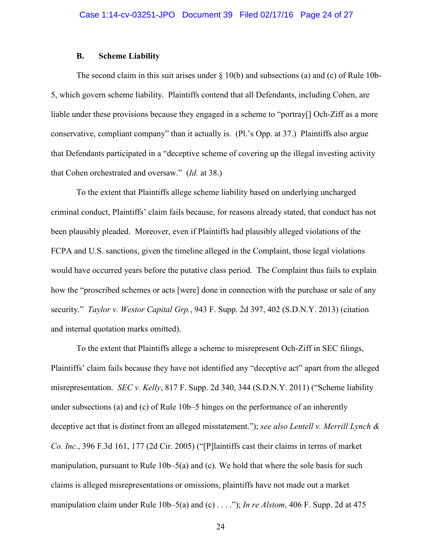# **B. Scheme Liability**

The second claim in this suit arises under  $\S 10(b)$  and subsections (a) and (c) of Rule 10b-5, which govern scheme liability. Plaintiffs contend that all Defendants, including Cohen, are liable under these provisions because they engaged in a scheme to "portray[] Och-Ziff as a more conservative, compliant company" than it actually is. (Pl.'s Opp. at 37.) Plaintiffs also argue that Defendants participated in a "deceptive scheme of covering up the illegal investing activity that Cohen orchestrated and oversaw." (*Id.* at 38.)

To the extent that Plaintiffs allege scheme liability based on underlying uncharged criminal conduct, Plaintiffs' claim fails because, for reasons already stated, that conduct has not been plausibly pleaded. Moreover, even if Plaintiffs had plausibly alleged violations of the FCPA and U.S. sanctions, given the timeline alleged in the Complaint, those legal violations would have occurred years before the putative class period. The Complaint thus fails to explain how the "proscribed schemes or acts [were] done in connection with the purchase or sale of any security." *Taylor v. Westor Capital Grp.*, 943 F. Supp. 2d 397, 402 (S.D.N.Y. 2013) (citation and internal quotation marks omitted).

To the extent that Plaintiffs allege a scheme to misrepresent Och-Ziff in SEC filings, Plaintiffs' claim fails because they have not identified any "deceptive act" apart from the alleged misrepresentation. *SEC v. Kelly*, 817 F. Supp. 2d 340, 344 (S.D.N.Y. 2011) ("Scheme liability under subsections (a) and (c) of Rule 10b–5 hinges on the performance of an inherently deceptive act that is distinct from an alleged misstatement."); *see also Lentell v. Merrill Lynch & Co. Inc.*, 396 F.3d 161, 177 (2d Cir. 2005) ("[P]laintiffs cast their claims in terms of market manipulation, pursuant to Rule 10b–5(a) and (c). We hold that where the sole basis for such claims is alleged misrepresentations or omissions, plaintiffs have not made out a market manipulation claim under Rule 10b–5(a) and (c) . . . ."); *In re Alstom*, 406 F. Supp. 2d at 475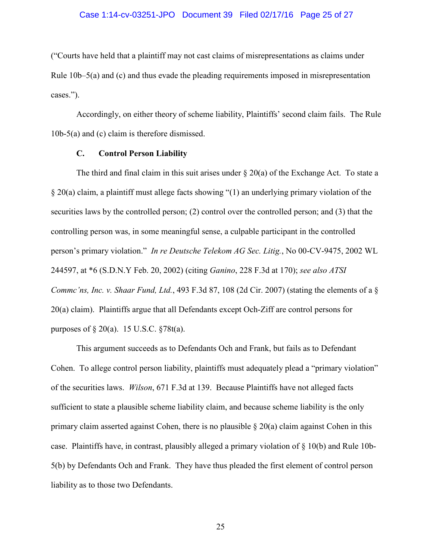### Case 1:14-cv-03251-JPO Document 39 Filed 02/17/16 Page 25 of 27

("Courts have held that a plaintiff may not cast claims of misrepresentations as claims under Rule 10b–5(a) and (c) and thus evade the pleading requirements imposed in misrepresentation cases.").

Accordingly, on either theory of scheme liability, Plaintiffs' second claim fails. The Rule 10b-5(a) and (c) claim is therefore dismissed.

# **C. Control Person Liability**

The third and final claim in this suit arises under  $\S 20(a)$  of the Exchange Act. To state a § 20(a) claim, a plaintiff must allege facts showing "(1) an underlying primary violation of the securities laws by the controlled person; (2) control over the controlled person; and (3) that the controlling person was, in some meaningful sense, a culpable participant in the controlled person's primary violation." *In re Deutsche Telekom AG Sec. Litig.*, No 00-CV-9475, 2002 WL 244597, at \*6 (S.D.N.Y Feb. 20, 2002) (citing *Ganino*, 228 F.3d at 170); *see also ATSI Commc'ns, Inc. v. Shaar Fund, Ltd.*, 493 F.3d 87, 108 (2d Cir. 2007) (stating the elements of a § 20(a) claim). Plaintiffs argue that all Defendants except Och-Ziff are control persons for purposes of  $\S 20(a)$ . 15 U.S.C.  $\S 78t(a)$ .

This argument succeeds as to Defendants Och and Frank, but fails as to Defendant Cohen. To allege control person liability, plaintiffs must adequately plead a "primary violation" of the securities laws. *Wilson*, 671 F.3d at 139. Because Plaintiffs have not alleged facts sufficient to state a plausible scheme liability claim, and because scheme liability is the only primary claim asserted against Cohen, there is no plausible  $\S 20(a)$  claim against Cohen in this case. Plaintiffs have, in contrast, plausibly alleged a primary violation of  $\S$  10(b) and Rule 10b-5(b) by Defendants Och and Frank. They have thus pleaded the first element of control person liability as to those two Defendants.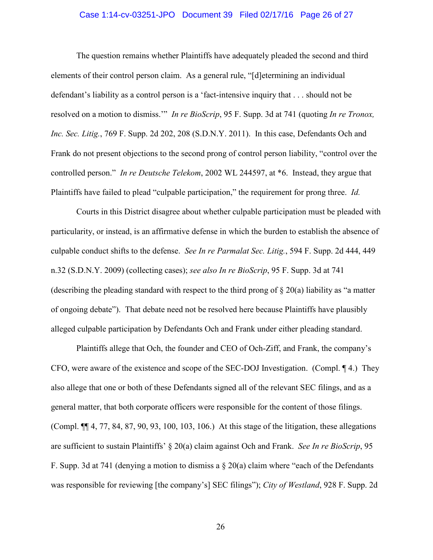### Case 1:14-cv-03251-JPO Document 39 Filed 02/17/16 Page 26 of 27

The question remains whether Plaintiffs have adequately pleaded the second and third elements of their control person claim. As a general rule, "[d]etermining an individual defendant's liability as a control person is a 'fact-intensive inquiry that . . . should not be resolved on a motion to dismiss.'" *In re BioScrip*, 95 F. Supp. 3d at 741 (quoting *In re Tronox, Inc. Sec. Litig.*, 769 F. Supp. 2d 202, 208 (S.D.N.Y. 2011). In this case, Defendants Och and Frank do not present objections to the second prong of control person liability, "control over the controlled person." *In re Deutsche Telekom*, 2002 WL 244597, at \*6. Instead, they argue that Plaintiffs have failed to plead "culpable participation," the requirement for prong three. *Id.* 

Courts in this District disagree about whether culpable participation must be pleaded with particularity, or instead, is an affirmative defense in which the burden to establish the absence of culpable conduct shifts to the defense. *See In re Parmalat Sec. Litig.*, 594 F. Supp. 2d 444, 449 n.32 (S.D.N.Y. 2009) (collecting cases); *see also In re BioScrip*, 95 F. Supp. 3d at 741 (describing the pleading standard with respect to the third prong of  $\S 20(a)$  liability as "a matter of ongoing debate"). That debate need not be resolved here because Plaintiffs have plausibly alleged culpable participation by Defendants Och and Frank under either pleading standard.

Plaintiffs allege that Och, the founder and CEO of Och-Ziff, and Frank, the company's CFO, were aware of the existence and scope of the SEC-DOJ Investigation. (Compl. ¶ 4.) They also allege that one or both of these Defendants signed all of the relevant SEC filings, and as a general matter, that both corporate officers were responsible for the content of those filings. (Compl. ¶¶ 4, 77, 84, 87, 90, 93, 100, 103, 106.) At this stage of the litigation, these allegations are sufficient to sustain Plaintiffs' § 20(a) claim against Och and Frank. *See In re BioScrip*, 95 F. Supp. 3d at 741 (denying a motion to dismiss a  $\S 20(a)$  claim where "each of the Defendants" was responsible for reviewing [the company's] SEC filings"); *City of Westland*, 928 F. Supp. 2d